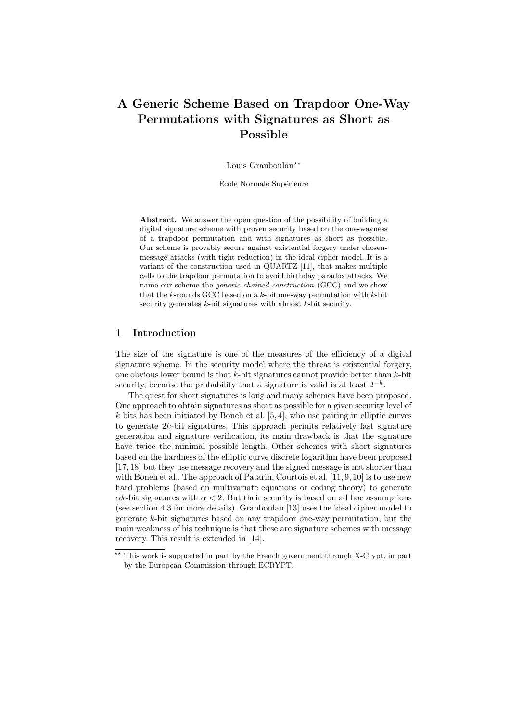# A Generic Scheme Based on Trapdoor One-Way Permutations with Signatures as Short as Possible

Louis Granboulan<sup>\*\*</sup>

École Normale Supérieure

Abstract. We answer the open question of the possibility of building a digital signature scheme with proven security based on the one-wayness of a trapdoor permutation and with signatures as short as possible. Our scheme is provably secure against existential forgery under chosenmessage attacks (with tight reduction) in the ideal cipher model. It is a variant of the construction used in QUARTZ [11], that makes multiple calls to the trapdoor permutation to avoid birthday paradox attacks. We name our scheme the generic chained construction (GCC) and we show that the  $k$ -rounds GCC based on a  $k$ -bit one-way permutation with  $k$ -bit security generates  $k$ -bit signatures with almost  $k$ -bit security.

## 1 Introduction

The size of the signature is one of the measures of the efficiency of a digital signature scheme. In the security model where the threat is existential forgery, one obvious lower bound is that  $k$ -bit signatures cannot provide better than  $k$ -bit security, because the probability that a signature is valid is at least  $2^{-k}$ .

The quest for short signatures is long and many schemes have been proposed. One approach to obtain signatures as short as possible for a given security level of  $k$  bits has been initiated by Boneh et al.  $[5, 4]$ , who use pairing in elliptic curves to generate  $2k$ -bit signatures. This approach permits relatively fast signature generation and signature verification, its main drawback is that the signature have twice the minimal possible length. Other schemes with short signatures based on the hardness of the elliptic curve discrete logarithm have been proposed [17, 18] but they use message recovery and the signed message is not shorter than with Boneh et al.. The approach of Patarin, Courtois et al. [11, 9, 10] is to use new hard problems (based on multivariate equations or coding theory) to generate  $\alpha k$ -bit signatures with  $\alpha < 2$ . But their security is based on ad hoc assumptions (see section 4.3 for more details). Granboulan [13] uses the ideal cipher model to generate k-bit signatures based on any trapdoor one-way permutation, but the main weakness of his technique is that these are signature schemes with message recovery. This result is extended in [14].

<sup>\*\*</sup> This work is supported in part by the French government through X-Crypt, in part by the European Commission through ECRYPT.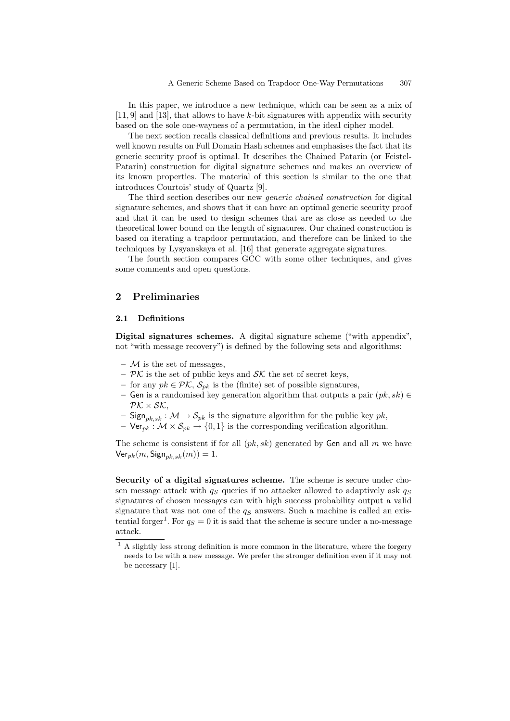In this paper, we introduce a new technique, which can be seen as a mix of [11, 9] and [13], that allows to have k-bit signatures with appendix with security based on the sole one-wayness of a permutation, in the ideal cipher model.

The next section recalls classical definitions and previous results. It includes well known results on Full Domain Hash schemes and emphasises the fact that its generic security proof is optimal. It describes the Chained Patarin (or Feistel-Patarin) construction for digital signature schemes and makes an overview of its known properties. The material of this section is similar to the one that introduces Courtois' study of Quartz [9].

The third section describes our new *generic chained construction* for digital signature schemes, and shows that it can have an optimal generic security proof and that it can be used to design schemes that are as close as needed to the theoretical lower bound on the length of signatures. Our chained construction is based on iterating a trapdoor permutation, and therefore can be linked to the techniques by Lysyanskaya et al. [16] that generate aggregate signatures.

The fourth section compares GCC with some other techniques, and gives some comments and open questions.

## 2 Preliminaries

## 2.1 Definitions

Digital signatures schemes. A digital signature scheme ("with appendix", not "with message recovery") is defined by the following sets and algorithms:

- $-$  M is the set of messages,
- $\mathcal{PK}$  is the set of public keys and  $\mathcal{SK}$  the set of secret keys,
- for any  $pk \in \mathcal{PK}$ ,  $\mathcal{S}_{pk}$  is the (finite) set of possible signatures,
- Gen is a randomised key generation algorithm that outputs a pair  $(pk, sk) \in$  $\mathcal{P}\mathcal{K}\times\mathcal{SK}$
- Sign<sub>pk,sk</sub>:  $\mathcal{M} \rightarrow \mathcal{S}_{pk}$  is the signature algorithm for the public key pk,
- $Ver_{pk}: \mathcal{M} \times \mathcal{S}_{pk} \rightarrow \{0, 1\}$  is the corresponding verification algorithm.

The scheme is consistent if for all  $(pk, sk)$  generated by Gen and all m we have  $\text{Ver}_{pk}(m, \text{Sign}_{pk,sk}(m)) = 1.$ 

Security of a digital signatures scheme. The scheme is secure under chosen message attack with  $q_S$  queries if no attacker allowed to adaptively ask  $q_S$ signatures of chosen messages can with high success probability output a valid signature that was not one of the  $q<sub>S</sub>$  answers. Such a machine is called an existential forger<sup>1</sup>. For  $q_S = 0$  it is said that the scheme is secure under a no-message attack.

 $<sup>1</sup>$  A slightly less strong definition is more common in the literature, where the forgery</sup> needs to be with a new message. We prefer the stronger definition even if it may not be necessary [1].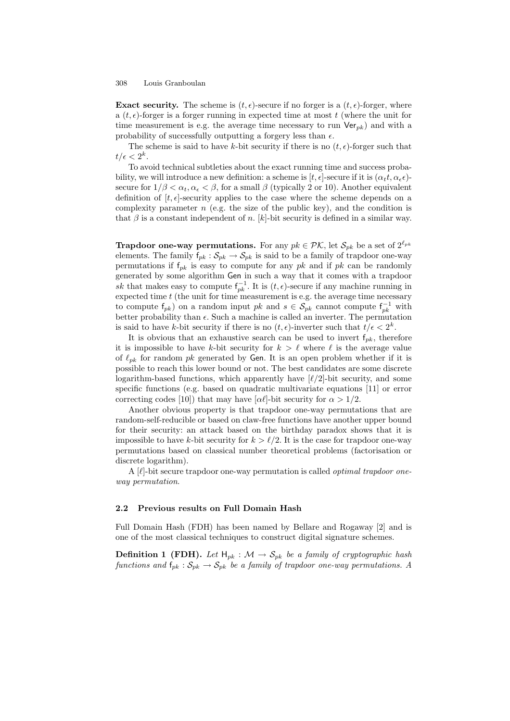**Exact security.** The scheme is  $(t, \epsilon)$ -secure if no forger is a  $(t, \epsilon)$ -forger, where a  $(t, \epsilon)$ -forger is a forger running in expected time at most t (where the unit for time measurement is e.g. the average time necessary to run  $Ver_{pk}$ ) and with a probability of successfully outputting a forgery less than  $\epsilon$ .

The scheme is said to have k-bit security if there is no  $(t, \epsilon)$ -forger such that  $t/\epsilon < 2^k$ .

To avoid technical subtleties about the exact running time and success probability, we will introduce a new definition: a scheme is  $[t, \epsilon]$ -secure if it is  $(\alpha_t, t, \alpha_{\epsilon} \epsilon)$ secure for  $1/\beta < \alpha_t, \alpha_{\epsilon} < \beta$ , for a small  $\beta$  (typically 2 or 10). Another equivalent definition of  $[t, \epsilon]$ -security applies to the case where the scheme depends on a complexity parameter  $n$  (e.g. the size of the public key), and the condition is that  $\beta$  is a constant independent of n. [k]-bit security is defined in a similar way.

**Trapdoor one-way permutations.** For any  $pk \in \mathcal{PK}$ , let  $\mathcal{S}_{pk}$  be a set of  $2^{\ell_{pk}}$ elements. The family  $f_{pk}: \mathcal{S}_{pk} \to \mathcal{S}_{pk}$  is said to be a family of trapdoor one-way permutations if  $f_{pk}$  is easy to compute for any pk and if pk can be randomly generated by some algorithm Gen in such a way that it comes with a trapdoor sk that makes easy to compute  $f_{pk}^{-1}$ . It is  $(t, \epsilon)$ -secure if any machine running in expected time  $t$  (the unit for time measurement is e.g. the average time necessary to compute  $f_{pk}$ ) on a random input pk and  $s \in S_{pk}$  cannot compute  $f_{pk}^{-1}$  with better probability than  $\epsilon$ . Such a machine is called an inverter. The permutation is said to have k-bit security if there is no  $(t, \epsilon)$ -inverter such that  $t/\epsilon < 2^k$ .

It is obvious that an exhaustive search can be used to invert  $f_{pk}$ , therefore it is impossible to have k-bit security for  $k > \ell$  where  $\ell$  is the average value of  $\ell_{pk}$  for random pk generated by Gen. It is an open problem whether if it is possible to reach this lower bound or not. The best candidates are some discrete logarithm-based functions, which apparently have  $[\ell/2]$ -bit security, and some specific functions (e.g. based on quadratic multivariate equations [11] or error correcting codes [10]) that may have  $\alpha$ <sup>[</sup>-bit security for  $\alpha > 1/2$ .

Another obvious property is that trapdoor one-way permutations that are random-self-reducible or based on claw-free functions have another upper bound for their security: an attack based on the birthday paradox shows that it is impossible to have k-bit security for  $k > \ell/2$ . It is the case for trapdoor one-way permutations based on classical number theoretical problems (factorisation or discrete logarithm).

A  $[\ell]$ -bit secure trapdoor one-way permutation is called *optimal trapdoor one*way permutation.

#### 2.2 Previous results on Full Domain Hash

Full Domain Hash (FDH) has been named by Bellare and Rogaway [2] and is one of the most classical techniques to construct digital signature schemes.

**Definition 1 (FDH).** Let  $H_{pk}$ :  $M \rightarrow S_{pk}$  be a family of cryptographic hash functions and  $f_{pk}$ :  $S_{pk} \rightarrow S_{pk}$  be a family of trapdoor one-way permutations. A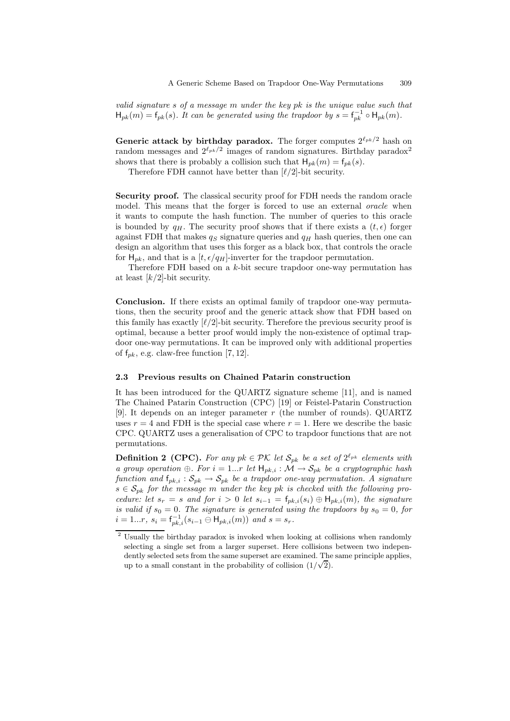valid signature s of a message m under the key pk is the unique value such that  $H_{pk}(m) = f_{pk}(s)$ . It can be generated using the trapdoor by  $s = f_{pk}^{-1} \circ H_{pk}(m)$ .

Generic attack by birthday paradox. The forger computes  $2^{\ell_{pk}/2}$  hash on random messages and  $2^{\ell_{pk}/2}$  images of random signatures. Birthday paradox<sup>2</sup> shows that there is probably a collision such that  $H_{pk}(m) = f_{pk}(s)$ .

Therefore FDH cannot have better than  $\lbrack \ell/2 \rbrack$ -bit security.

Security proof. The classical security proof for FDH needs the random oracle model. This means that the forger is forced to use an external *oracle* when it wants to compute the hash function. The number of queries to this oracle is bounded by  $q_H$ . The security proof shows that if there exists a  $(t, \epsilon)$  forger against FDH that makes  $q_S$  signature queries and  $q_H$  hash queries, then one can design an algorithm that uses this forger as a black box, that controls the oracle for  $H_{pk}$ , and that is a  $[t, \epsilon/q_H]$ -inverter for the trapdoor permutation.

Therefore FDH based on a k-bit secure trapdoor one-way permutation has at least  $\lfloor k/2 \rfloor$ -bit security.

Conclusion. If there exists an optimal family of trapdoor one-way permutations, then the security proof and the generic attack show that FDH based on this family has exactly  $\lbrack \ell/2 \rbrack$ -bit security. Therefore the previous security proof is optimal, because a better proof would imply the non-existence of optimal trapdoor one-way permutations. It can be improved only with additional properties of  $f_{pk}$ , e.g. claw-free function [7, 12].

#### 2.3 Previous results on Chained Patarin construction

It has been introduced for the QUARTZ signature scheme [11], and is named The Chained Patarin Construction (CPC) [19] or Feistel-Patarin Construction [9]. It depends on an integer parameter r (the number of rounds). QUARTZ uses  $r = 4$  and FDH is the special case where  $r = 1$ . Here we describe the basic CPC. QUARTZ uses a generalisation of CPC to trapdoor functions that are not permutations.

**Definition 2 (CPC).** For any  $pk \in \mathcal{PK}$  let  $\mathcal{S}_{pk}$  be a set of  $2^{\ell_{pk}}$  elements with a group operation ⊕. For  $i = 1...r$  let  $H_{pk,i} : \mathcal{M} \to \mathcal{S}_{pk}$  be a cryptographic hash function and  $f_{pk,i}$ :  $S_{pk} \rightarrow S_{pk}$  be a trapdoor one-way permutation. A signature  $s \in S_{pk}$  for the message m under the key pk is checked with the following procedure: let  $s_r = s$  and for  $i > 0$  let  $s_{i-1} = f_{pk,i}(s_i) \oplus H_{pk,i}(m)$ , the signature is valid if  $s_0 = 0$ . The signature is generated using the trapdoors by  $s_0 = 0$ , for  $i = 1...r, s_i = f_{pk,i}^{-1}(s_{i-1} \ominus H_{pk,i}(m))$  and  $s = s_r$ .

<sup>&</sup>lt;sup>2</sup> Usually the birthday paradox is invoked when looking at collisions when randomly selecting a single set from a larger superset. Here collisions between two independently selected sets from the same superset are examined. The same principle applies, up to a small constant in the probability of collision  $(1/\sqrt{2})$ .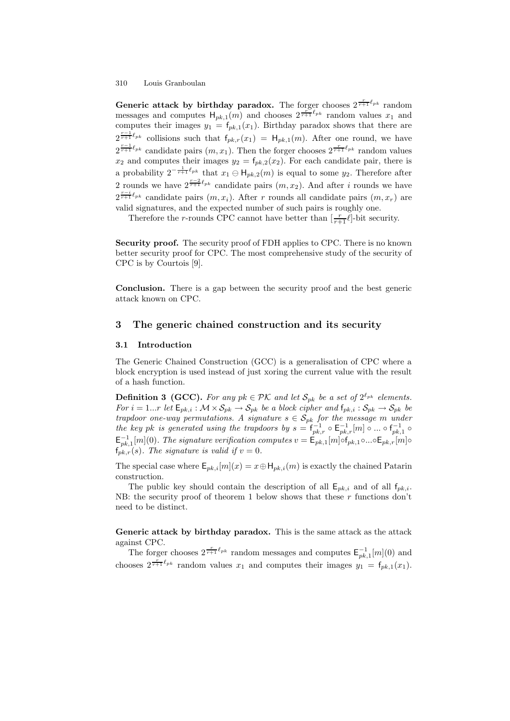Generic attack by birthday paradox. The forger chooses  $2^{\frac{r}{r+1}\ell_{pk}}$  random messages and computes  $H_{pk,1}(m)$  and chooses  $2^{\frac{r}{r+1} \ell_{pk}}$  random values  $x_1$  and computes their images  $y_1 = f_{pk,1}(x_1)$ . Birthday paradox shows that there are  $2^{\frac{r-1}{r+1}\ell_{pk}}$  collisions such that  $f_{pk,r}(x_1) = H_{pk,1}(m)$ . After one round, we have  $2^{\frac{r-1}{r+1}\ell_{pk}}$  candidate pairs  $(m, x_1)$ . Then the forger chooses  $2^{\frac{r}{r+1}\ell_{pk}}$  random values  $x_2$  and computes their images  $y_2 = f_{pk,2}(x_2)$ . For each candidate pair, there is a probability  $2^{-\frac{1}{r+1}\ell_{pk}}$  that  $x_1 \ominus H_{pk,2}(m)$  is equal to some  $y_2$ . Therefore after 2 rounds we have  $2^{\frac{r-2}{r+1}\ell_{pk}}$  candidate pairs  $(m, x_2)$ . And after i rounds we have  $2^{\frac{r-i}{r+1}\ell_{pk}}$  candidate pairs  $(m, x_i)$ . After r rounds all candidate pairs  $(m, x_r)$  are valid signatures, and the expected number of such pairs is roughly one.

Therefore the *r*-rounds CPC cannot have better than  $\left[\frac{r}{r+1} \ell\right]$ -bit security.

Security proof. The security proof of FDH applies to CPC. There is no known better security proof for CPC. The most comprehensive study of the security of CPC is by Courtois [9].

Conclusion. There is a gap between the security proof and the best generic attack known on CPC.

## 3 The generic chained construction and its security

#### 3.1 Introduction

The Generic Chained Construction (GCC) is a generalisation of CPC where a block encryption is used instead of just xoring the current value with the result of a hash function.

**Definition 3 (GCC).** For any  $pk \in \mathcal{PK}$  and let  $\mathcal{S}_{pk}$  be a set of  $2^{\ell_{pk}}$  elements. For  $i = 1...r$  let  $\mathsf{E}_{pk,i} : \mathcal{M} \times \mathcal{S}_{pk} \to \mathcal{S}_{pk}$  be a block cipher and  $\mathsf{f}_{pk,i} : \mathcal{S}_{pk} \to \mathcal{S}_{pk}$  be trapdoor one-way permutations. A signature  $s \in S_{pk}$  for the message m under the key pk is generated using the trapdoors by  $s = \int_{pk, r}^{p(x)} \circ E_{pk, r}^{-1}[m] \circ ... \circ f_{pk, 1}^{-1} \circ$  $\mathsf{E}_{pk,1}^{-1}[m](0)$ . The signature verification computes  $v = \mathsf{E}_{pk,1}[m] \circ f_{pk,1} \circ ... \circ \mathsf{E}_{pk,r}[m] \circ f_{pk,1} \circ ... \circ f_{pk,r}[m]$  $f_{pk,r}(s)$ . The signature is valid if  $v = 0$ .

The special case where  $\mathsf{E}_{p,k,i}[m](x) = x \oplus \mathsf{H}_{p,k,i}(m)$  is exactly the chained Patarin construction.

The public key should contain the description of all  $E_{pk,i}$  and of all  $f_{pk,i}$ . NB: the security proof of theorem 1 below shows that these  $r$  functions don't need to be distinct.

Generic attack by birthday paradox. This is the same attack as the attack against CPC.

The forger chooses  $2^{\frac{r}{r+1}\ell_{pk}}$  random messages and computes  $\mathsf{E}_{pk,1}^{-1}[m](0)$  and chooses  $2^{\frac{r}{r+1}\ell_{pk}}$  random values  $x_1$  and computes their images  $y_1 = f_{pk,1}(x_1)$ .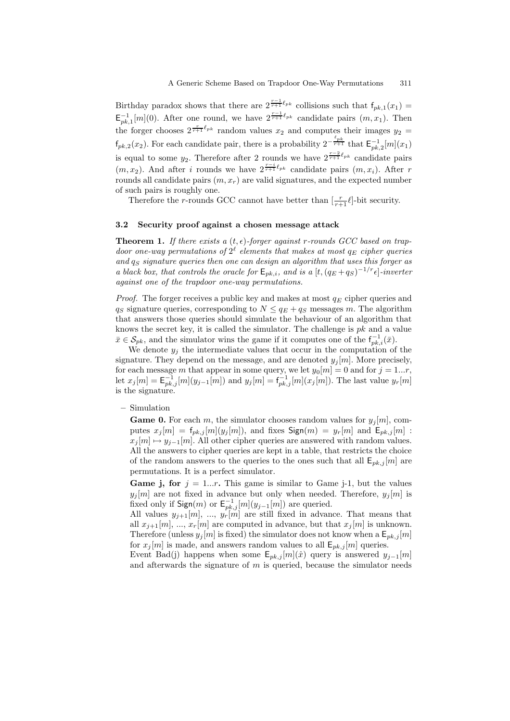Birthday paradox shows that there are  $2^{\frac{r-1}{r+1}\ell_{pk}}$  collisions such that  $f_{pk,1}(x_1)$  =  $\mathsf{E}_{pk,1}^{-1}[m](0)$ . After one round, we have  $2^{\frac{r-1}{r+1}\ell_{pk}}$  candidate pairs  $(m, x_1)$ . Then the forger chooses  $2^{\frac{r}{r+1} \ell_{pk}}$  random values  $x_2$  and computes their images  $y_2 =$  $f_{pk,2}(x_2)$ . For each candidate pair, there is a probability  $2^{-\frac{\ell_{pk}}{r+1}}$  that  $\mathsf{E}_{pk,2}^{-1}[m](x_1)$ is equal to some  $y_2$ . Therefore after 2 rounds we have  $2^{\frac{r-2}{r+1}\ell_{pk}}$  candidate pairs  $(m, x_2)$ . And after i rounds we have  $2^{\frac{r-i}{r+1}\ell_{pk}}$  candidate pairs  $(m, x_i)$ . After r rounds all candidate pairs  $(m, x_r)$  are valid signatures, and the expected number of such pairs is roughly one.

Therefore the *r*-rounds GCC cannot have better than  $\left[\frac{r}{r+1} \ell\right]$ -bit security.

#### 3.2 Security proof against a chosen message attack

**Theorem 1.** If there exists a  $(t, \epsilon)$ -forger against r-rounds GCC based on trapdoor one-way permutations of  $2^{\ell}$  elements that makes at most  $q_E$  cipher queries and  $q_S$  signature queries then one can design an algorithm that uses this forger as a black box, that controls the oracle for  $\mathsf{E}_{p\bar{k},i}$ , and is a  $[t,(q_E+q_S)^{-1/r}\epsilon]$ -inverter against one of the trapdoor one-way permutations.

*Proof.* The forger receives a public key and makes at most  $q_E$  cipher queries and  $q_S$  signature queries, corresponding to  $N \leq q_E + q_S$  messages m. The algorithm that answers those queries should simulate the behaviour of an algorithm that knows the secret key, it is called the simulator. The challenge is  $pk$  and a value  $\bar{x} \in \mathcal{S}_{pk}$ , and the simulator wins the game if it computes one of the  $f^{-1}_{pk,i}(\bar{x})$ .

We denote  $y_j$  the intermediate values that occur in the computation of the signature. They depend on the message, and are denoted  $y_j[m]$ . More precisely, for each message m that appear in some query, we let  $y_0[m] = 0$  and for  $j = 1...r$ , let  $x_j[m] = \mathsf{E}_{pk,j}^{-1}[m](y_{j-1}[m])$  and  $y_j[m] = \mathsf{E}_{pk,j}^{-1}[m](x_j[m])$ . The last value  $y_r[m]$ is the signature.

– Simulation

**Game 0.** For each m, the simulator chooses random values for  $y_j[m]$ , computes  $x_j[m] = f_{pk,j}[m](y_j[m])$ , and fixes  $\text{Sign}(m) = y_r[m]$  and  $\text{E}_{pk,j}[m]$ :  $x_i[m] \mapsto y_{i-1}[m]$ . All other cipher queries are answered with random values. All the answers to cipher queries are kept in a table, that restricts the choice of the random answers to the queries to the ones such that all  $\mathsf{E}_{pk,j}[m]$  are permutations. It is a perfect simulator.

**Game j, for**  $j = 1...r$ . This game is similar to Game j-1, but the values  $y_j[m]$  are not fixed in advance but only when needed. Therefore,  $y_j[m]$  is fixed only if  $\mathsf{Sign}(m)$  or  $\mathsf{E}_{pk,j}^{-1}[m](y_{j-1}[m])$  are queried.

All values  $y_{j+1}[m], \ldots, y_r[m]$  are still fixed in advance. That means that all  $x_{i+1}[m], ..., x_r[m]$  are computed in advance, but that  $x_i[m]$  is unknown. Therefore (unless  $y_i[m]$  is fixed) the simulator does not know when a  $\mathsf{E}_{pk,j}[m]$ for  $x_i[m]$  is made, and answers random values to all  $\mathsf{E}_{pk,i}[m]$  queries.

Event Bad(j) happens when some  $\mathsf{E}_{pk,j}[m](\hat{x})$  query is answered  $y_{j-1}[m]$ and afterwards the signature of  $m$  is queried, because the simulator needs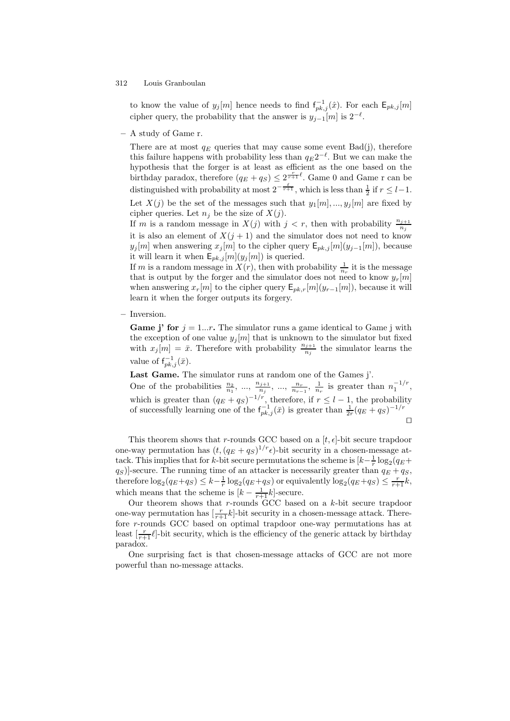to know the value of  $y_j[m]$  hence needs to find  $f_{pk,j}^{-1}(\hat{x})$ . For each  $\mathsf{E}_{pk,j}[m]$ cipher query, the probability that the answer is  $y_{j-1}[m]$  is  $2^{-\ell}$ .

– A study of Game r.

There are at most  $q_E$  queries that may cause some event  $Bad(j)$ , therefore this failure happens with probability less than  $q_E 2^{-\ell}$ . But we can make the hypothesis that the forger is at least as efficient as the one based on the birthday paradox, therefore  $(q_E + q_S) \leq 2^{\frac{r}{r+1}\ell}$ . Game 0 and Game r can be distinguished with probability at most  $2^{-\frac{\ell}{r+1}}$ , which is less than  $\frac{1}{2}$  if  $r \leq l-1$ .

Let  $X(j)$  be the set of the messages such that  $y_1[m],...,y_j[m]$  are fixed by cipher queries. Let  $n_i$  be the size of  $X(j)$ .

If m is a random message in  $X(j)$  with  $j < r$ , then with probability  $\frac{n_{j+1}}{n_j}$  $n_j$ it is also an element of  $X(j + 1)$  and the simulator does not need to know  $y_j[m]$  when answering  $x_j[m]$  to the cipher query  $\mathsf{E}_{pk,j}[m](y_{j-1}[m])$ , because it will learn it when  $\mathsf{E}_{pk,j}[m](y_j[m])$  is queried.

If m is a random message in  $X(r)$ , then with probability  $\frac{1}{n_r}$  it is the message that is output by the forger and the simulator does not need to know  $y_r[m]$ when answering  $x_r[m]$  to the cipher query  $\mathsf{E}_{pk,r}[m](y_{r-1}[m])$ , because it will learn it when the forger outputs its forgery.

– Inversion.

**Game j' for**  $j = 1...r$ . The simulator runs a game identical to Game j with the exception of one value  $y_j[m]$  that is unknown to the simulator but fixed with  $x_j[m] = \bar{x}$ . Therefore with probability  $\frac{n_{j+1}}{n_j}$  $\frac{j+1}{n_j}$  the simulator learns the value of  $f_{pk,j}^{-1}(\bar{x})$ .

Last Game. The simulator runs at random one of the Games j'.

One of the probabilities  $\frac{n_2}{n_1}$ , ...,  $\frac{n_{j+1}}{n_j}$  $\frac{n_r}{n_i}, \dots, \frac{n_r}{n_{r-1}}, \frac{1}{n_r}$  is greater than  $n_1^{-1/r}$ , which is greater than  $(q_E + q_S)^{-1/r}$ , therefore, if  $r \leq l-1$ , the probability of successfully learning one of the  $f_{pk,j}^{-1}(\bar{x})$  is greater than  $\frac{1}{2r}(q_E+q_S)^{-1/r}$  $\Box$ 

This theorem shows that r-rounds GCC based on a  $[t, \epsilon]$ -bit secure trapdoor one-way permutation has  $(t, (q_E + q_S)^{1/r} \epsilon)$ -bit security in a chosen-message attack. This implies that for k-bit secure permutations the scheme is  $\left[k-\frac{1}{r}\log_2(q_E+\frac{1}{r}\log_2(q_E+\frac{1}{r})\right]$  $(q_S)$ ]-secure. The running time of an attacker is necessarily greater than  $q_E + q_S$ , therefore  $\log_2(q_E+q_S) \leq k - \frac{1}{r} \log_2(q_E+q_S)$  or equivalently  $\log_2(q_E+q_S) \leq \frac{r}{r+1}k$ , which means that the scheme is  $[k - \frac{1}{r+1}k]$ -secure.

Our theorem shows that  $r$ -rounds GCC based on a  $k$ -bit secure trapdoor one-way permutation has  $\left[\frac{r}{r+1}k\right]$ -bit security in a chosen-message attack. Therefore r-rounds GCC based on optimal trapdoor one-way permutations has at least  $\left[\frac{r}{r+1}\ell\right]$ -bit security, which is the efficiency of the generic attack by birthday paradox.

One surprising fact is that chosen-message attacks of GCC are not more powerful than no-message attacks.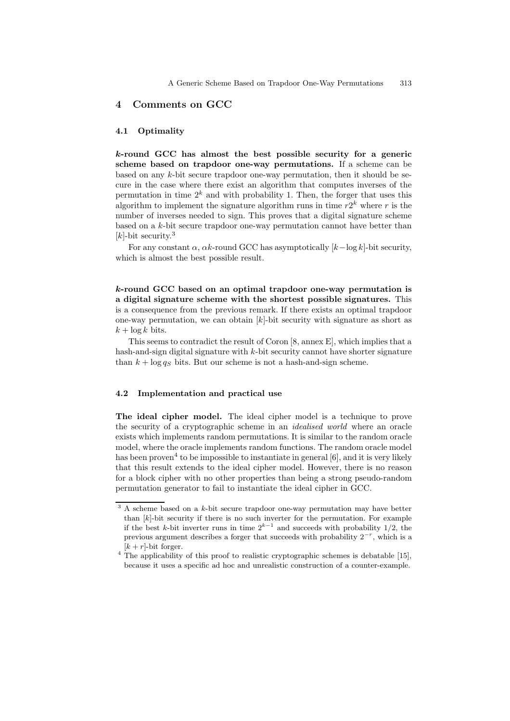## 4 Comments on GCC

#### 4.1 Optimality

k-round GCC has almost the best possible security for a generic scheme based on trapdoor one-way permutations. If a scheme can be based on any k-bit secure trapdoor one-way permutation, then it should be secure in the case where there exist an algorithm that computes inverses of the permutation in time  $2^k$  and with probability 1. Then, the forger that uses this algorithm to implement the signature algorithm runs in time  $r2^k$  where r is the number of inverses needed to sign. This proves that a digital signature scheme based on a k-bit secure trapdoor one-way permutation cannot have better than [ $k$ ]-bit security.<sup>3</sup>

For any constant  $\alpha$ ,  $\alpha k$ -round GCC has asymptotically  $[k-\log k]$ -bit security, which is almost the best possible result.

k-round GCC based on an optimal trapdoor one-way permutation is a digital signature scheme with the shortest possible signatures. This is a consequence from the previous remark. If there exists an optimal trapdoor one-way permutation, we can obtain  $[k]$ -bit security with signature as short as  $k + \log k$  bits.

This seems to contradict the result of Coron [8, annex E], which implies that a hash-and-sign digital signature with  $k$ -bit security cannot have shorter signature than  $k + \log q_S$  bits. But our scheme is not a hash-and-sign scheme.

#### 4.2 Implementation and practical use

The ideal cipher model. The ideal cipher model is a technique to prove the security of a cryptographic scheme in an idealised world where an oracle exists which implements random permutations. It is similar to the random oracle model, where the oracle implements random functions. The random oracle model has been proven<sup>4</sup> to be impossible to instantiate in general [6], and it is very likely that this result extends to the ideal cipher model. However, there is no reason for a block cipher with no other properties than being a strong pseudo-random permutation generator to fail to instantiate the ideal cipher in GCC.

 $3$  A scheme based on a  $k$ -bit secure trapdoor one-way permutation may have better than  $[k]$ -bit security if there is no such inverter for the permutation. For example if the best k-bit inverter runs in time  $2^{k-1}$  and succeeds with probability 1/2, the previous argument describes a forger that succeeds with probability  $2^{-r}$ , which is a  $[k + r]$ -bit forger.

<sup>&</sup>lt;sup>4</sup> The applicability of this proof to realistic cryptographic schemes is debatable [15], because it uses a specific ad hoc and unrealistic construction of a counter-example.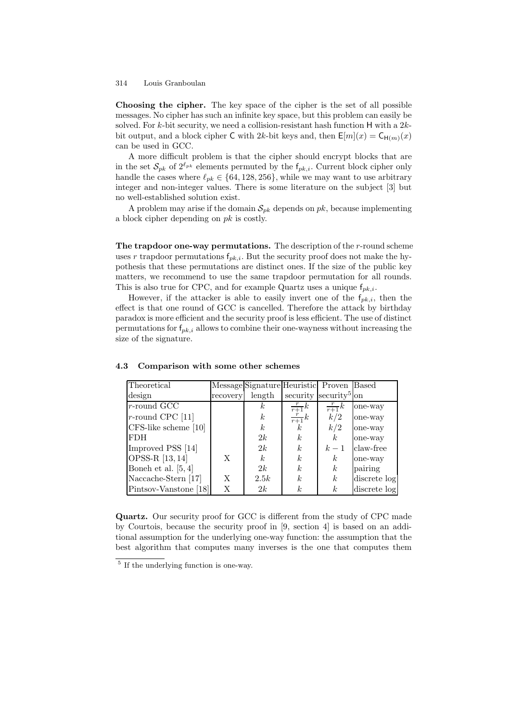Choosing the cipher. The key space of the cipher is the set of all possible messages. No cipher has such an infinite key space, but this problem can easily be solved. For  $k$ -bit security, we need a collision-resistant hash function H with a  $2k$ bit output, and a block cipher C with 2k-bit keys and, then  $E[m](x) = C_{H(m)}(x)$ can be used in GCC.

A more difficult problem is that the cipher should encrypt blocks that are in the set  $\mathcal{S}_{pk}$  of  $2^{\ell_{pk}}$  elements permuted by the  $f_{pk,i}$ . Current block cipher only handle the cases where  $\ell_{pk} \in \{64, 128, 256\}$ , while we may want to use arbitrary integer and non-integer values. There is some literature on the subject [3] but no well-established solution exist.

A problem may arise if the domain  $\mathcal{S}_{pk}$  depends on pk, because implementing a block cipher depending on  $pk$  is costly.

The trapdoor one-way permutations. The description of the r-round scheme uses r trapdoor permutations  $f_{pk,i}$ . But the security proof does not make the hypothesis that these permutations are distinct ones. If the size of the public key matters, we recommend to use the same trapdoor permutation for all rounds. This is also true for CPC, and for example Quartz uses a unique  $f_{pk,i}$ .

However, if the attacker is able to easily invert one of the  $f_{pk,i}$ , then the effect is that one round of GCC is cancelled. Therefore the attack by birthday paradox is more efficient and the security proof is less efficient. The use of distinct permutations for  $f_{pk,i}$  allows to combine their one-wayness without increasing the size of the signature.

| Theoretical             |          | Message Signature Heuristic Proven Based |                  |                                   |              |
|-------------------------|----------|------------------------------------------|------------------|-----------------------------------|--------------|
| design                  | recovery | length                                   |                  | security security <sup>5</sup> on |              |
| $r$ -round GCC          |          | $\kappa$                                 | $\frac{r}{r+1}k$ | $\frac{r}{r+1}k$                  | one-way      |
| $r$ -round CPC [11]     |          | $\boldsymbol{k}$                         | $\frac{r}{r+1}k$ | k/2                               | one-way      |
| $CFS$ -like scheme [10] |          | $\boldsymbol{k}$                         | k.               | k/2                               | one-way      |
| <b>FDH</b>              |          | 2k                                       | k.               | k <sub>i</sub>                    | one-way      |
| Improved PSS [14]       |          | 2k                                       | k.               | $k-1$                             | claw-free    |
| OPSS-R [13, 14]         | X        | k <sub>i</sub>                           | k <sub>i</sub>   | $\boldsymbol{k}$                  | one-way      |
| Boneh et al. $[5,4]$    |          | 2k                                       | k <sub>i</sub>   | k <sub>i</sub>                    | pairing      |
| Naccache-Stern [17]     | X        | 2.5k                                     | k <sub>i</sub>   | k <sub>i</sub>                    | discrete log |
| Pintsov-Vanstone [18]   | Χ        | 2k                                       | k <sub>i</sub>   | k <sub>i</sub>                    | discrete log |

4.3 Comparison with some other schemes

Quartz. Our security proof for GCC is different from the study of CPC made by Courtois, because the security proof in [9, section 4] is based on an additional assumption for the underlying one-way function: the assumption that the best algorithm that computes many inverses is the one that computes them

<sup>5</sup> If the underlying function is one-way.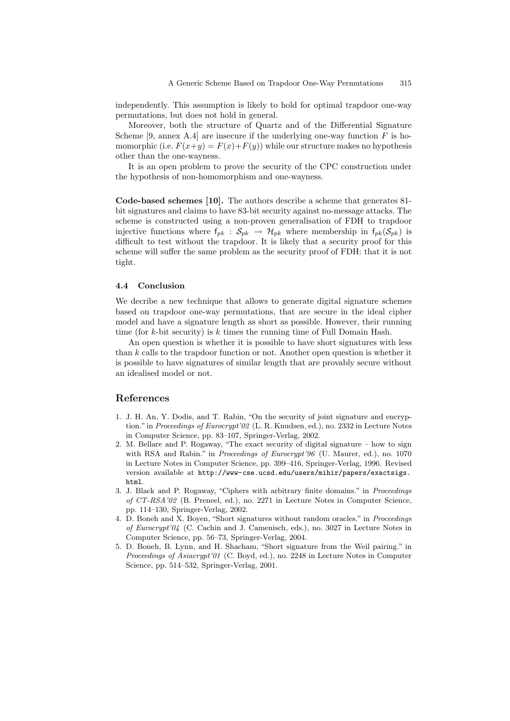independently. This assumption is likely to hold for optimal trapdoor one-way permutations, but does not hold in general.

Moreover, both the structure of Quartz and of the Differential Signature Scheme [9, annex A.4] are insecure if the underlying one-way function  $F$  is homomorphic (i.e.  $F(x+y) = F(x)+F(y)$ ) while our structure makes no hypothesis other than the one-wayness.

It is an open problem to prove the security of the CPC construction under the hypothesis of non-homomorphism and one-wayness.

Code-based schemes [10]. The authors describe a scheme that generates 81 bit signatures and claims to have 83-bit security against no-message attacks. The scheme is constructed using a non-proven generalisation of FDH to trapdoor injective functions where  $f_{pk}$ :  $S_{pk} \rightarrow \mathcal{H}_{pk}$  where membership in  $f_{pk}(S_{pk})$  is difficult to test without the trapdoor. It is likely that a security proof for this scheme will suffer the same problem as the security proof of FDH: that it is not tight.

#### 4.4 Conclusion

We decribe a new technique that allows to generate digital signature schemes based on trapdoor one-way permutations, that are secure in the ideal cipher model and have a signature length as short as possible. However, their running time (for  $k$ -bit security) is  $k$  times the running time of Full Domain Hash.

An open question is whether it is possible to have short signatures with less than  $k$  calls to the trapdoor function or not. Another open question is whether it is possible to have signatures of similar length that are provably secure without an idealised model or not.

## References

- 1. J. H. An, Y. Dodis, and T. Rabin, "On the security of joint signature and encryption." in Proceedings of Eurocrypt'02 (L. R. Knudsen, ed.), no. 2332 in Lecture Notes in Computer Science, pp. 83–107, Springer-Verlag, 2002.
- 2. M. Bellare and P. Rogaway, "The exact security of digital signature how to sign with RSA and Rabin." in Proceedings of Eurocrypt'96 (U. Maurer, ed.), no. 1070 in Lecture Notes in Computer Science, pp. 399–416, Springer-Verlag, 1996. Revised version available at http://www-cse.ucsd.edu/users/mihir/papers/exactsigs. html.
- 3. J. Black and P. Rogaway, "Ciphers with arbitrary finite domains." in Proceedings of CT-RSA'02 (B. Preneel, ed.), no. 2271 in Lecture Notes in Computer Science, pp. 114–130, Springer-Verlag, 2002.
- 4. D. Boneh and X. Boyen, "Short signatures without random oracles." in Proceedings of Eurocrypt'04 (C. Cachin and J. Camenisch, eds.), no. 3027 in Lecture Notes in Computer Science, pp. 56–73, Springer-Verlag, 2004.
- 5. D. Boneh, B. Lynn, and H. Shacham, "Short signature from the Weil pairing." in Proceedings of Asiacrypt'01 (C. Boyd, ed.), no. 2248 in Lecture Notes in Computer Science, pp. 514–532, Springer-Verlag, 2001.